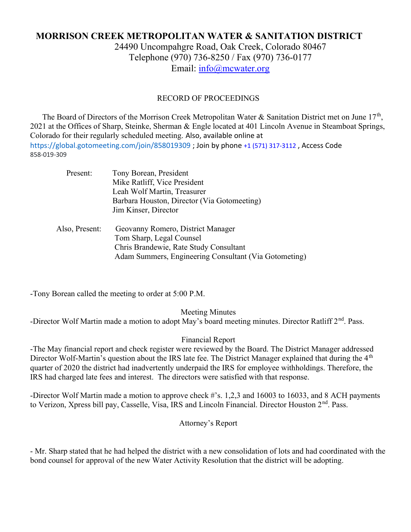# MORRISON CREEK METROPOLITAN WATER & SANITATION DISTRICT

24490 Uncompahgre Road, Oak Creek, Colorado 80467 Telephone (970) 736-8250 / Fax (970) 736-0177 Email: info@mcwater.org

#### RECORD OF PROCEEDINGS

The Board of Directors of the Morrison Creek Metropolitan Water & Sanitation District met on June  $17<sup>th</sup>$ , 2021 at the Offices of Sharp, Steinke, Sherman & Engle located at 401 Lincoln Avenue in Steamboat Springs, Colorado for their regularly scheduled meeting. Also, available online at https://global.gotomeeting.com/join/858019309 ; Join by phone +1 (571) 317-3112 , Access Code 858-019-309

| Present:       | Tony Borean, President                                |
|----------------|-------------------------------------------------------|
|                | Mike Ratliff, Vice President                          |
|                | Leah Wolf Martin, Treasurer                           |
|                | Barbara Houston, Director (Via Gotomeeting)           |
|                | Jim Kinser, Director                                  |
| Also, Present: | Geovanny Romero, District Manager                     |
|                | Tom Sharp, Legal Counsel                              |
|                | Chris Brandewie, Rate Study Consultant                |
|                | Adam Summers, Engineering Consultant (Via Gotometing) |

-Tony Borean called the meeting to order at 5:00 P.M.

Meeting Minutes

-Director Wolf Martin made a motion to adopt May's board meeting minutes. Director Ratliff 2<sup>nd</sup>. Pass.

### Financial Report

-The May financial report and check register were reviewed by the Board. The District Manager addressed Director Wolf-Martin's question about the IRS late fee. The District Manager explained that during the 4<sup>th</sup> quarter of 2020 the district had inadvertently underpaid the IRS for employee withholdings. Therefore, the IRS had charged late fees and interest. The directors were satisfied with that response.

-Director Wolf Martin made a motion to approve check #'s. 1,2,3 and 16003 to 16033, and 8 ACH payments to Verizon, Xpress bill pay, Casselle, Visa, IRS and Lincoln Financial. Director Houston 2<sup>nd</sup>. Pass.

Attorney's Report

- Mr. Sharp stated that he had helped the district with a new consolidation of lots and had coordinated with the bond counsel for approval of the new Water Activity Resolution that the district will be adopting.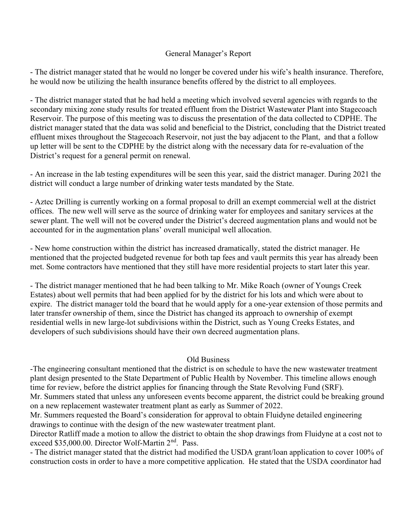## General Manager's Report

- The district manager stated that he would no longer be covered under his wife's health insurance. Therefore, he would now be utilizing the health insurance benefits offered by the district to all employees.

- The district manager stated that he had held a meeting which involved several agencies with regards to the secondary mixing zone study results for treated effluent from the District Wastewater Plant into Stagecoach Reservoir. The purpose of this meeting was to discuss the presentation of the data collected to CDPHE. The district manager stated that the data was solid and beneficial to the District, concluding that the District treated effluent mixes throughout the Stagecoach Reservoir, not just the bay adjacent to the Plant, and that a follow up letter will be sent to the CDPHE by the district along with the necessary data for re-evaluation of the District's request for a general permit on renewal.

- An increase in the lab testing expenditures will be seen this year, said the district manager. During 2021 the district will conduct a large number of drinking water tests mandated by the State.

- Aztec Drilling is currently working on a formal proposal to drill an exempt commercial well at the district offices. The new well will serve as the source of drinking water for employees and sanitary services at the sewer plant. The well will not be covered under the District's decreed augmentation plans and would not be accounted for in the augmentation plans' overall municipal well allocation.

- New home construction within the district has increased dramatically, stated the district manager. He mentioned that the projected budgeted revenue for both tap fees and vault permits this year has already been met. Some contractors have mentioned that they still have more residential projects to start later this year.

- The district manager mentioned that he had been talking to Mr. Mike Roach (owner of Youngs Creek Estates) about well permits that had been applied for by the district for his lots and which were about to expire. The district manager told the board that he would apply for a one-year extension of those permits and later transfer ownership of them, since the District has changed its approach to ownership of exempt residential wells in new large-lot subdivisions within the District, such as Young Creeks Estates, and developers of such subdivisions should have their own decreed augmentation plans.

#### Old Business

-The engineering consultant mentioned that the district is on schedule to have the new wastewater treatment plant design presented to the State Department of Public Health by November. This timeline allows enough time for review, before the district applies for financing through the State Revolving Fund (SRF). Mr. Summers stated that unless any unforeseen events become apparent, the district could be breaking ground on a new replacement wastewater treatment plant as early as Summer of 2022.

Mr. Summers requested the Board's consideration for approval to obtain Fluidyne detailed engineering drawings to continue with the design of the new wastewater treatment plant.

Director Ratliff made a motion to allow the district to obtain the shop drawings from Fluidyne at a cost not to exceed \$35,000.00. Director Wolf-Martin 2<sup>nd</sup>. Pass.

- The district manager stated that the district had modified the USDA grant/loan application to cover 100% of construction costs in order to have a more competitive application. He stated that the USDA coordinator had